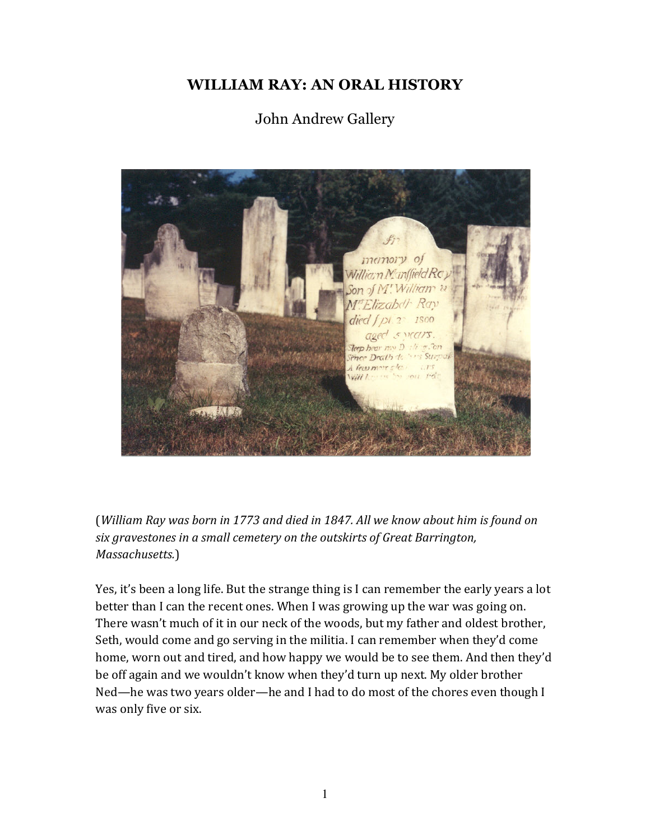## **WILLIAM RAY: AN ORAL HISTORY**

## John Andrew Gallery



(*William Ray was born in 1773 and died in 1847. All we know about him is found on* six gravestones in a small cemetery on the outskirts of Great Barrington, *Massachusetts.*)

Yes, it's been a long life. But the strange thing is I can remember the early years a lot better than I can the recent ones. When I was growing up the war was going on. There wasn't much of it in our neck of the woods, but my father and oldest brother, Seth, would come and go serving in the militia. I can remember when they'd come home, worn out and tired, and how happy we would be to see them. And then they'd be off again and we wouldn't know when they'd turn up next. My older brother Ned—he was two years older—he and I had to do most of the chores even though I was only five or six.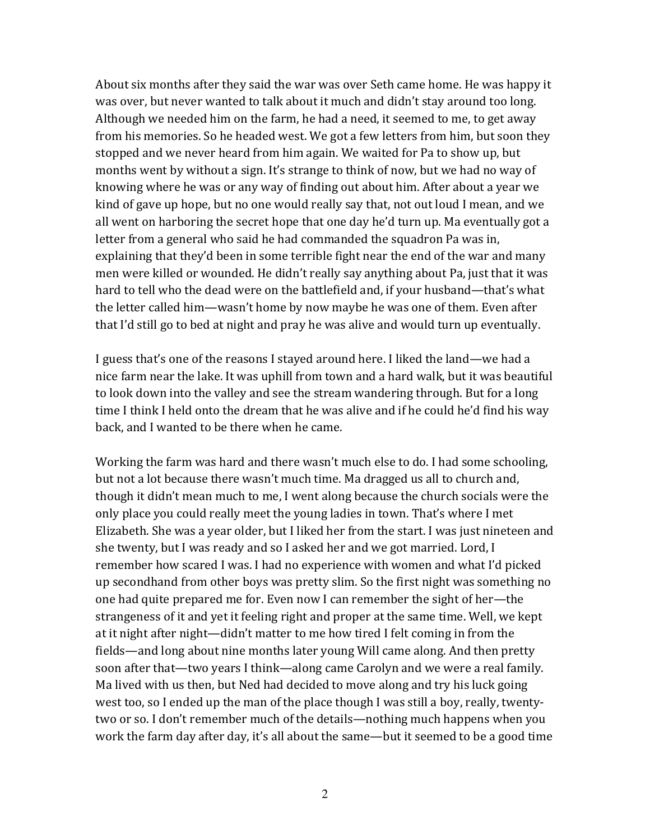About six months after they said the war was over Seth came home. He was happy it was over, but never wanted to talk about it much and didn't stay around too long. Although we needed him on the farm, he had a need, it seemed to me, to get away from his memories. So he headed west. We got a few letters from him, but soon they stopped and we never heard from him again. We waited for Pa to show up, but months went by without a sign. It's strange to think of now, but we had no way of knowing where he was or any way of finding out about him. After about a year we kind of gave up hope, but no one would really say that, not out loud I mean, and we all went on harboring the secret hope that one day he'd turn up. Ma eventually got a letter from a general who said he had commanded the squadron Pa was in, explaining that they'd been in some terrible fight near the end of the war and many men were killed or wounded. He didn't really say anything about Pa, just that it was hard to tell who the dead were on the battlefield and, if your husband—that's what the letter called him—wasn't home by now maybe he was one of them. Even after that I'd still go to bed at night and pray he was alive and would turn up eventually.

I guess that's one of the reasons I stayed around here. I liked the land—we had a nice farm near the lake. It was uphill from town and a hard walk, but it was beautiful to look down into the valley and see the stream wandering through. But for a long time I think I held onto the dream that he was alive and if he could he'd find his way back, and I wanted to be there when he came.

Working the farm was hard and there wasn't much else to do. I had some schooling, but not a lot because there wasn't much time. Ma dragged us all to church and, though it didn't mean much to me, I went along because the church socials were the only place you could really meet the young ladies in town. That's where I met Elizabeth. She was a year older, but I liked her from the start. I was just nineteen and she twenty, but I was ready and so I asked her and we got married. Lord, I remember how scared I was. I had no experience with women and what I'd picked up secondhand from other boys was pretty slim. So the first night was something no one had quite prepared me for. Even now I can remember the sight of her—the strangeness of it and yet it feeling right and proper at the same time. Well, we kept at it night after night—didn't matter to me how tired I felt coming in from the fields—and long about nine months later young Will came along. And then pretty soon after that—two years I think—along came Carolyn and we were a real family. Ma lived with us then, but Ned had decided to move along and try his luck going west too, so I ended up the man of the place though I was still a boy, really, twentytwo or so. I don't remember much of the details—nothing much happens when you work the farm day after day, it's all about the same—but it seemed to be a good time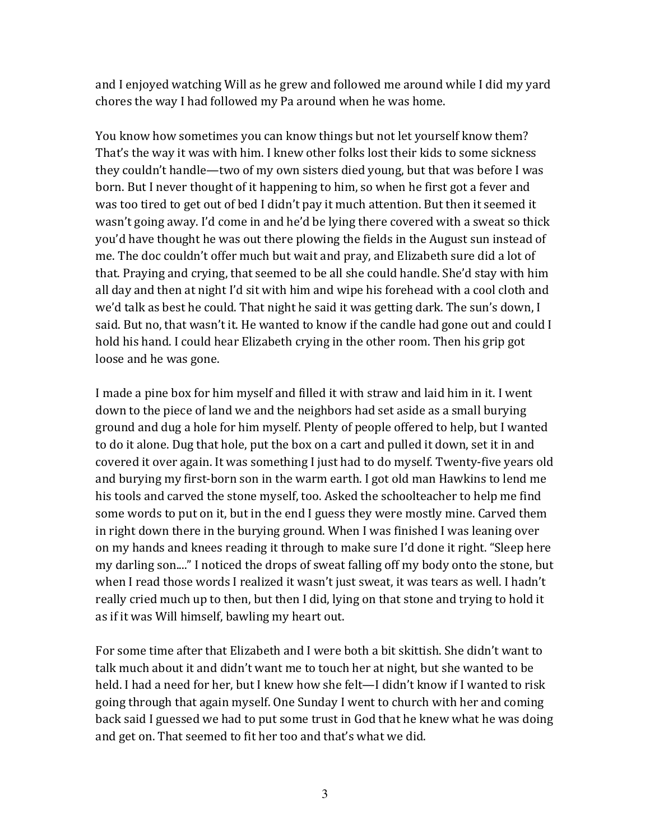and I enjoyed watching Will as he grew and followed me around while I did my vard chores the way I had followed my Pa around when he was home.

You know how sometimes you can know things but not let yourself know them? That's the way it was with him. I knew other folks lost their kids to some sickness they couldn't handle—two of my own sisters died young, but that was before I was born. But I never thought of it happening to him, so when he first got a fever and was too tired to get out of bed I didn't pay it much attention. But then it seemed it wasn't going away. I'd come in and he'd be lying there covered with a sweat so thick you'd have thought he was out there plowing the fields in the August sun instead of me. The doc couldn't offer much but wait and pray, and Elizabeth sure did a lot of that. Praying and crying, that seemed to be all she could handle. She'd stay with him all day and then at night I'd sit with him and wipe his forehead with a cool cloth and we'd talk as best he could. That night he said it was getting dark. The sun's down, I said. But no, that wasn't it. He wanted to know if the candle had gone out and could I hold his hand. I could hear Elizabeth crying in the other room. Then his grip got loose and he was gone.

I made a pine box for him myself and filled it with straw and laid him in it. I went down to the piece of land we and the neighbors had set aside as a small burying ground and dug a hole for him myself. Plenty of people offered to help, but I wanted to do it alone. Dug that hole, put the box on a cart and pulled it down, set it in and covered it over again. It was something I just had to do myself. Twenty-five years old and burying my first-born son in the warm earth. I got old man Hawkins to lend me his tools and carved the stone myself, too. Asked the schoolteacher to help me find some words to put on it, but in the end I guess they were mostly mine. Carved them in right down there in the burying ground. When I was finished I was leaning over on my hands and knees reading it through to make sure I'd done it right. "Sleep here my darling son...." I noticed the drops of sweat falling off my body onto the stone, but when I read those words I realized it wasn't just sweat, it was tears as well. I hadn't really cried much up to then, but then I did, lying on that stone and trying to hold it as if it was Will himself, bawling my heart out.

For some time after that Elizabeth and I were both a bit skittish. She didn't want to talk much about it and didn't want me to touch her at night, but she wanted to be held. I had a need for her, but I knew how she felt—I didn't know if I wanted to risk going through that again myself. One Sunday I went to church with her and coming back said I guessed we had to put some trust in God that he knew what he was doing and get on. That seemed to fit her too and that's what we did.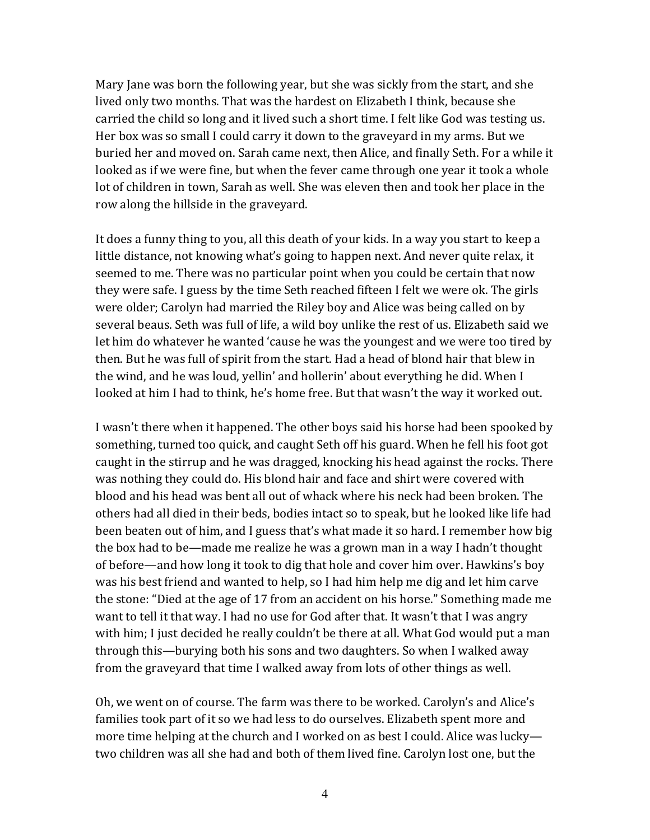Mary Jane was born the following year, but she was sickly from the start, and she lived only two months. That was the hardest on Elizabeth I think, because she carried the child so long and it lived such a short time. I felt like God was testing us. Her box was so small I could carry it down to the graveyard in my arms. But we buried her and moved on. Sarah came next, then Alice, and finally Seth. For a while it looked as if we were fine, but when the fever came through one year it took a whole lot of children in town, Sarah as well. She was eleven then and took her place in the row along the hillside in the graveyard.

It does a funny thing to you, all this death of your kids. In a way you start to keep a little distance, not knowing what's going to happen next. And never quite relax, it seemed to me. There was no particular point when you could be certain that now they were safe. I guess by the time Seth reached fifteen I felt we were ok. The girls were older; Carolyn had married the Riley boy and Alice was being called on by several beaus. Seth was full of life, a wild boy unlike the rest of us. Elizabeth said we let him do whatever he wanted 'cause he was the youngest and we were too tired by then. But he was full of spirit from the start. Had a head of blond hair that blew in the wind, and he was loud, yellin' and hollerin' about everything he did. When I looked at him I had to think, he's home free. But that wasn't the way it worked out.

I wasn't there when it happened. The other boys said his horse had been spooked by something, turned too quick, and caught Seth off his guard. When he fell his foot got caught in the stirrup and he was dragged, knocking his head against the rocks. There was nothing they could do. His blond hair and face and shirt were covered with blood and his head was bent all out of whack where his neck had been broken. The others had all died in their beds, bodies intact so to speak, but he looked like life had been beaten out of him, and I guess that's what made it so hard. I remember how big the box had to be—made me realize he was a grown man in a way I hadn't thought of before—and how long it took to dig that hole and cover him over. Hawkins's boy was his best friend and wanted to help, so I had him help me dig and let him carve the stone: "Died at the age of 17 from an accident on his horse." Something made me want to tell it that way. I had no use for God after that. It wasn't that I was angry with him; I just decided he really couldn't be there at all. What God would put a man through this—burying both his sons and two daughters. So when I walked away from the graveyard that time I walked away from lots of other things as well.

Oh, we went on of course. The farm was there to be worked. Carolyn's and Alice's families took part of it so we had less to do ourselves. Elizabeth spent more and more time helping at the church and I worked on as best I could. Alice was lucky two children was all she had and both of them lived fine. Carolyn lost one, but the